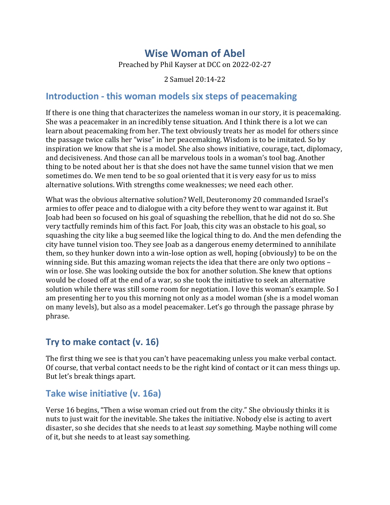# **Wise Woman of Abel**

Preached by Phil Kayser at DCC on 2022-02-27

2 Samuel 20:14-22

#### **Introduction - this woman models six steps of peacemaking**

If there is one thing that characterizes the nameless woman in our story, it is peacemaking. She was a peacemaker in an incredibly tense situation. And I think there is a lot we can learn about peacemaking from her. The text obviously treats her as model for others since the passage twice calls her "wise" in her peacemaking. Wisdom is to be imitated. So by inspiration we know that she is a model. She also shows initiative, courage, tact, diplomacy, and decisiveness. And those can all be marvelous tools in a woman's tool bag. Another thing to be noted about her is that she does not have the same tunnel vision that we men sometimes do. We men tend to be so goal oriented that it is very easy for us to miss alternative solutions. With strengths come weaknesses; we need each other.

What was the obvious alternative solution? Well, Deuteronomy 20 commanded Israel's armies to offer peace and to dialogue with a city before they went to war against it. But Joab had been so focused on his goal of squashing the rebellion, that he did not do so. She very tactfully reminds him of this fact. For Joab, this city was an obstacle to his goal, so squashing the city like a bug seemed like the logical thing to do. And the men defending the city have tunnel vision too. They see Joab as a dangerous enemy determined to annihilate them, so they hunker down into a win-lose option as well, hoping (obviously) to be on the winning side. But this amazing woman rejects the idea that there are only two options  $$ win or lose. She was looking outside the box for another solution. She knew that options would be closed off at the end of a war, so she took the initiative to seek an alternative solution while there was still some room for negotiation. I love this woman's example. So I am presenting her to you this morning not only as a model woman (she is a model woman on many levels), but also as a model peacemaker. Let's go through the passage phrase by phrase.

## **Try to make contact (v. 16)**

The first thing we see is that you can't have peacemaking unless you make verbal contact. Of course, that verbal contact needs to be the right kind of contact or it can mess things up. But let's break things apart.

#### **Take wise initiative (v. 16a)**

Verse 16 begins, "Then a wise woman cried out from the city." She obviously thinks it is nuts to just wait for the inevitable. She takes the initiative. Nobody else is acting to avert disaster, so she decides that she needs to at least *say* something. Maybe nothing will come of it, but she needs to at least say something.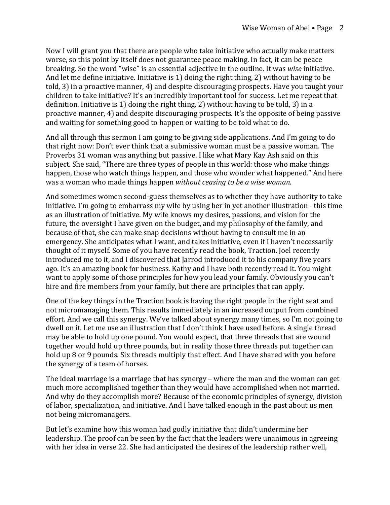Now I will grant you that there are people who take initiative who actually make matters worse, so this point by itself does not guarantee peace making. In fact, it can be peace breaking. So the word "wise" is an essential adjective in the outline. It was wise initiative. And let me define initiative. Initiative is 1) doing the right thing, 2) without having to be told, 3) in a proactive manner, 4) and despite discouraging prospects. Have you taught your children to take initiative? It's an incredibly important tool for success. Let me repeat that definition. Initiative is 1) doing the right thing, 2) without having to be told, 3) in a proactive manner, 4) and despite discouraging prospects. It's the opposite of being passive and waiting for something good to happen or waiting to be told what to do.

And all through this sermon I am going to be giving side applications. And I'm going to do that right now: Don't ever think that a submissive woman must be a passive woman. The Proverbs 31 woman was anything but passive. I like what Mary Kay Ash said on this subject. She said, "There are three types of people in this world: those who make things happen, those who watch things happen, and those who wonder what happened." And here was a woman who made things happen *without ceasing to be a wise woman.* 

And sometimes women second-guess themselves as to whether they have authority to take initiative. I'm going to embarrass my wife by using her in yet another illustration - this time as an illustration of initiative. My wife knows my desires, passions, and vision for the future, the oversight I have given on the budget, and my philosophy of the family, and because of that, she can make snap decisions without having to consult me in an emergency. She anticipates what I want, and takes initiative, even if I haven't necessarily thought of it myself. Some of you have recently read the book, Traction. Joel recently introduced me to it, and I discovered that Jarrod introduced it to his company five years ago. It's an amazing book for business. Kathy and I have both recently read it. You might want to apply some of those principles for how you lead your family. Obviously you can't hire and fire members from your family, but there are principles that can apply.

One of the key things in the Traction book is having the right people in the right seat and not micromanaging them. This results immediately in an increased output from combined effort. And we call this synergy. We've talked about synergy many times, so I'm not going to dwell on it. Let me use an illustration that I don't think I have used before. A single thread may be able to hold up one pound. You would expect, that three threads that are wound together would hold up three pounds, but in reality those three threads put together can hold up 8 or 9 pounds. Six threads multiply that effect. And I have shared with you before the synergy of a team of horses.

The ideal marriage is a marriage that has synergy – where the man and the woman can get much more accomplished together than they would have accomplished when not married. And why do they accomplish more? Because of the economic principles of synergy, division of labor, specialization, and initiative. And I have talked enough in the past about us men not being micromanagers.

But let's examine how this woman had godly initiative that didn't undermine her leadership. The proof can be seen by the fact that the leaders were unanimous in agreeing with her idea in verse 22. She had anticipated the desires of the leadership rather well,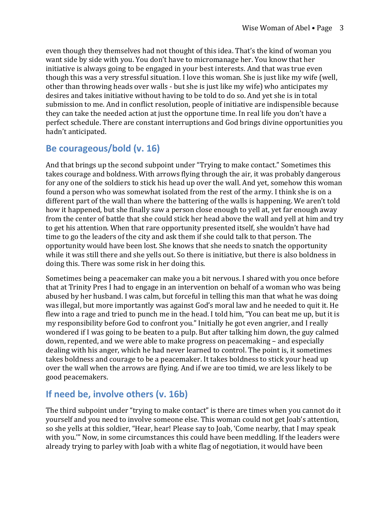even though they themselves had not thought of this idea. That's the kind of woman you want side by side with you. You don't have to micromanage her. You know that her initiative is always going to be engaged in your best interests. And that was true even though this was a very stressful situation. I love this woman. She is just like my wife (well, other than throwing heads over walls - but she is just like my wife) who anticipates my desires and takes initiative without having to be told to do so. And yet she is in total submission to me. And in conflict resolution, people of initiative are indispensible because they can take the needed action at just the opportune time. In real life you don't have a perfect schedule. There are constant interruptions and God brings divine opportunities you hadn't anticipated.

## **Be courageous/bold (v. 16)**

And that brings up the second subpoint under "Trying to make contact." Sometimes this takes courage and boldness. With arrows flying through the air, it was probably dangerous for any one of the soldiers to stick his head up over the wall. And yet, somehow this woman found a person who was somewhat isolated from the rest of the army. I think she is on a different part of the wall than where the battering of the walls is happening. We aren't told how it happened, but she finally saw a person close enough to yell at, yet far enough away from the center of battle that she could stick her head above the wall and yell at him and try to get his attention. When that rare opportunity presented itself, she wouldn't have had time to go the leaders of the city and ask them if she could talk to that person. The opportunity would have been lost. She knows that she needs to snatch the opportunity while it was still there and she yells out. So there is initiative, but there is also boldness in doing this. There was some risk in her doing this.

Sometimes being a peacemaker can make you a bit nervous. I shared with you once before that at Trinity Pres I had to engage in an intervention on behalf of a woman who was being abused by her husband. I was calm, but forceful in telling this man that what he was doing was illegal, but more importantly was against God's moral law and he needed to quit it. He flew into a rage and tried to punch me in the head. I told him, "You can beat me up, but it is my responsibility before God to confront you." Initially he got even angrier, and I really wondered if I was going to be beaten to a pulp. But after talking him down, the guy calmed down, repented, and we were able to make progress on peacemaking – and especially dealing with his anger, which he had never learned to control. The point is, it sometimes takes boldness and courage to be a peacemaker. It takes boldness to stick your head up over the wall when the arrows are flying. And if we are too timid, we are less likely to be good peacemakers.

## **If need be, involve others (v. 16b)**

The third subpoint under "trying to make contact" is there are times when you cannot do it yourself and you need to involve someone else. This woman could not get Joab's attention, so she yells at this soldier, "Hear, hear! Please say to Joab, 'Come nearby, that I may speak with you." Now, in some circumstances this could have been meddling. If the leaders were already trying to parley with Joab with a white flag of negotiation, it would have been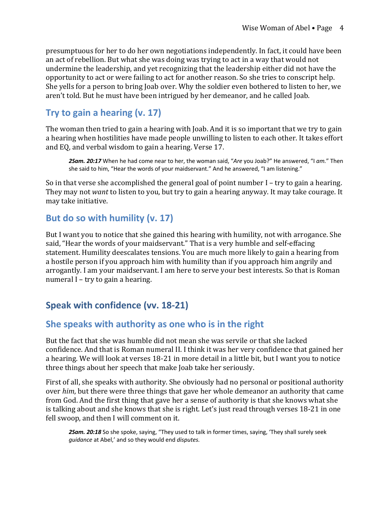presumptuous for her to do her own negotiations independently. In fact, it could have been an act of rebellion. But what she was doing was trying to act in a way that would not undermine the leadership, and yet recognizing that the leadership either did not have the opportunity to act or were failing to act for another reason. So she tries to conscript help. She yells for a person to bring Joab over. Why the soldier even bothered to listen to her, we aren't told. But he must have been intrigued by her demeanor, and he called Joab.

# **Try to gain a hearing (v. 17)**

The woman then tried to gain a hearing with Joab. And it is so important that we try to gain a hearing when hostilities have made people unwilling to listen to each other. It takes effort and EQ, and verbal wisdom to gain a hearing. Verse 17.

*2Sam. 20:17* When he had come near to her, the woman said, "*Are* you Joab?" He answered, "I *am.*" Then she said to him, "Hear the words of your maidservant." And he answered, "I am listening."

So in that verse she accomplished the general goal of point number  $I$  – try to gain a hearing. They may not want to listen to you, but try to gain a hearing anyway. It may take courage. It may take initiative.

#### **But do so with humility (v. 17)**

But I want you to notice that she gained this hearing with humility, not with arrogance. She said, "Hear the words of your maidservant." That is a very humble and self-effacing statement. Humility deescalates tensions. You are much more likely to gain a hearing from a hostile person if you approach him with humility than if you approach him angrily and arrogantly. I am your maidservant. I am here to serve your best interests. So that is Roman numeral  $I - try$  to gain a hearing.

# **Speak with confidence (vv. 18-21)**

#### **She speaks with authority as one who is in the right**

But the fact that she was humble did not mean she was servile or that she lacked confidence. And that is Roman numeral II. I think it was her very confidence that gained her a hearing. We will look at verses 18-21 in more detail in a little bit, but I want you to notice three things about her speech that make Joab take her seriously.

First of all, she speaks with authority. She obviously had no personal or positional authority over *him*, but there were three things that gave her whole demeanor an authority that came from God. And the first thing that gave her a sense of authority is that she knows what she is talking about and she knows that she is right. Let's just read through verses 18-21 in one fell swoop, and then I will comment on it.

*2Sam. 20:18* So she spoke, saying, "They used to talk in former times, saying, 'They shall surely seek *guidance* at Abel,' and so they would end *disputes.*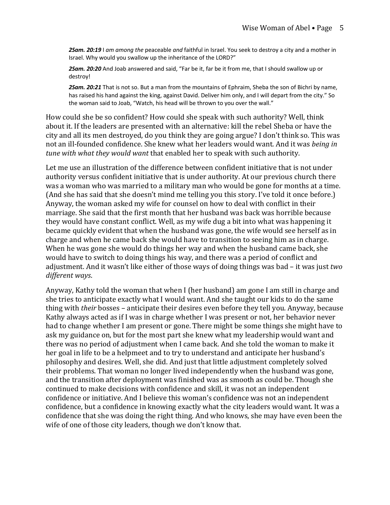*2Sam. 20:19* I *am among the* peaceable *and* faithful in Israel. You seek to destroy a city and a mother in Israel. Why would you swallow up the inheritance of the LORD?"

*2Sam. 20:20* And Joab answered and said, "Far be it, far be it from me, that I should swallow up or destroy!

*2Sam. 20:21* That is not so. But a man from the mountains of Ephraim, Sheba the son of Bichri by name, has raised his hand against the king, against David. Deliver him only, and I will depart from the city." So the woman said to Joab, "Watch, his head will be thrown to you over the wall."

How could she be so confident? How could she speak with such authority? Well, think about it. If the leaders are presented with an alternative: kill the rebel Sheba or have the city and all its men destroyed, do you think they are going argue? I don't think so. This was not an ill-founded confidence. She knew what her leaders would want. And it was *being in tune* with what they would want that enabled her to speak with such authority.

Let me use an illustration of the difference between confident initiative that is not under authority versus confident initiative that is under authority. At our previous church there was a woman who was married to a military man who would be gone for months at a time. (And she has said that she doesn't mind me telling you this story. I've told it once before.) Anyway, the woman asked my wife for counsel on how to deal with conflict in their marriage. She said that the first month that her husband was back was horrible because they would have constant conflict. Well, as my wife dug a bit into what was happening it became quickly evident that when the husband was gone, the wife would see herself as in charge and when he came back she would have to transition to seeing him as in charge. When he was gone she would do things her way and when the husband came back, she would have to switch to doing things his way, and there was a period of conflict and adjustment. And it wasn't like either of those ways of doing things was bad – it was just *two different ways*.

Anyway, Kathy told the woman that when I (her husband) am gone I am still in charge and she tries to anticipate exactly what I would want. And she taught our kids to do the same thing with *their* bosses – anticipate their desires even before they tell you. Anyway, because Kathy always acted as if I was in charge whether I was present or not, her behavior never had to change whether I am present or gone. There might be some things she might have to ask my guidance on, but for the most part she knew what my leadership would want and there was no period of adjustment when I came back. And she told the woman to make it her goal in life to be a helpmeet and to try to understand and anticipate her husband's philosophy and desires. Well, she did. And just that little adjustment completely solved their problems. That woman no longer lived independently when the husband was gone, and the transition after deployment was finished was as smooth as could be. Though she continued to make decisions with confidence and skill, it was not an independent confidence or initiative. And I believe this woman's confidence was not an independent confidence, but a confidence in knowing exactly what the city leaders would want. It was a confidence that she was doing the right thing. And who knows, she may have even been the wife of one of those city leaders, though we don't know that.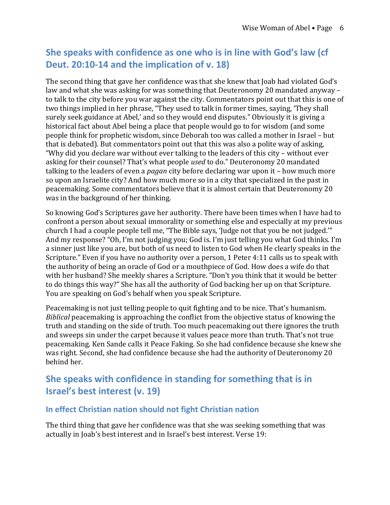# **She speaks with confidence as one who is in line with God's law (cf Deut. 20:10-14 and the implication of v. 18)**

The second thing that gave her confidence was that she knew that Joab had violated God's law and what she was asking for was something that Deuteronomy 20 mandated anyway to talk to the city before you war against the city. Commentators point out that this is one of two things implied in her phrase, "They used to talk in former times, saying, 'They shall surely seek guidance at Abel,' and so they would end disputes." Obviously it is giving a historical fact about Abel being a place that people would go to for wisdom (and some people think for prophetic wisdom, since Deborah too was called a mother in Israel – but that is debated). But commentators point out that this was also a polite way of asking, "Why did you declare war without ever talking to the leaders of this city – without ever asking for their counsel? That's what people *used* to do." Deuteronomy 20 mandated talking to the leaders of even a *pagan* city before declaring war upon it – how much more so upon an Israelite city? And how much more so in a city that specialized in the past in peacemaking. Some commentators believe that it is almost certain that Deuteronomy 20 was in the background of her thinking.

So knowing God's Scriptures gave her authority. There have been times when I have had to confront a person about sexual immorality or something else and especially at my previous church I had a couple people tell me, "The Bible says, 'Judge not that you be not judged."" And my response? "Oh, I'm not judging you; God is. I'm just telling you what God thinks. I'm a sinner just like you are, but both of us need to listen to God when He clearly speaks in the Scripture." Even if you have no authority over a person, 1 Peter 4:11 calls us to speak with the authority of being an oracle of God or a mouthpiece of God. How does a wife do that with her husband? She meekly shares a Scripture. "Don't you think that it would be better to do things this way?" She has all the authority of God backing her up on that Scripture. You are speaking on God's behalf when you speak Scripture.

Peacemaking is not just telling people to quit fighting and to be nice. That's humanism. *Biblical* peacemaking is approaching the conflict from the objective status of knowing the truth and standing on the side of truth. Too much peacemaking out there ignores the truth and sweeps sin under the carpet because it values peace more than truth. That's not true peacemaking. Ken Sande calls it Peace Faking. So she had confidence because she knew she was right. Second, she had confidence because she had the authority of Deuteronomy 20 behind her.

## **She speaks with confidence in standing for something that is in Israel's best interest (v. 19)**

#### **In effect Christian nation should not fight Christian nation**

The third thing that gave her confidence was that she was seeking something that was actually in Joab's best interest and in Israel's best interest. Verse 19: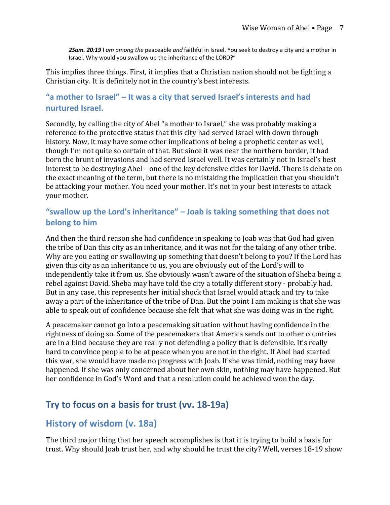*2Sam. 20:19* I *am among the* peaceable *and* faithful in Israel. You seek to destroy a city and a mother in Israel. Why would you swallow up the inheritance of the LORD?"

This implies three things. First, it implies that a Christian nation should not be fighting a Christian city. It is definitely not in the country's best interests.

#### **"a mother to Israel" – It was a city that served Israel's interests and had nurtured Israel.**

Secondly, by calling the city of Abel "a mother to Israel," she was probably making a reference to the protective status that this city had served Israel with down through history. Now, it may have some other implications of being a prophetic center as well, though I'm not quite so certain of that. But since it was near the northern border, it had born the brunt of invasions and had served Israel well. It was certainly not in Israel's best interest to be destroying Abel – one of the key defensive cities for David. There is debate on the exact meaning of the term, but there is no mistaking the implication that you shouldn't be attacking your mother. You need your mother. It's not in your best interests to attack your mother.

#### **"swallow up the Lord's inheritance" – Joab is taking something that does not belong to him**

And then the third reason she had confidence in speaking to Joab was that God had given the tribe of Dan this city as an inheritance, and it was not for the taking of any other tribe. Why are you eating or swallowing up something that doesn't belong to you? If the Lord has given this city as an inheritance to us, you are obviously out of the Lord's will to independently take it from us. She obviously wasn't aware of the situation of Sheba being a rebel against David. Sheba may have told the city a totally different story - probably had. But in any case, this represents her initial shock that Israel would attack and try to take away a part of the inheritance of the tribe of Dan. But the point I am making is that she was able to speak out of confidence because she felt that what she was doing was in the right.

A peacemaker cannot go into a peacemaking situation without having confidence in the rightness of doing so. Some of the peacemakers that America sends out to other countries are in a bind because they are really not defending a policy that is defensible. It's really hard to convince people to be at peace when you are not in the right. If Abel had started this war, she would have made no progress with Joab. If she was timid, nothing may have happened. If she was only concerned about her own skin, nothing may have happened. But her confidence in God's Word and that a resolution could be achieved won the day.

## **Try to focus on a basis for trust (vv. 18-19a)**

#### **History of wisdom (v. 18a)**

The third major thing that her speech accomplishes is that it is trying to build a basis for trust. Why should Joab trust her, and why should he trust the city? Well, verses 18-19 show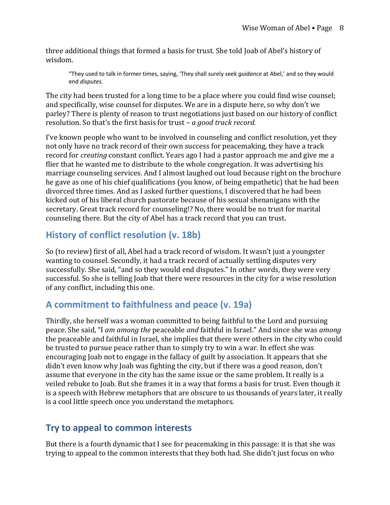three additional things that formed a basis for trust. She told Joab of Abel's history of wisdom.

"They used to talk in former times, saying, 'They shall surely seek *guidance* at Abel,' and so they would end *disputes.*

The city had been trusted for a long time to be a place where you could find wise counsel; and specifically, wise counsel for disputes. We are in a dispute here, so why don't we parley? There is plenty of reason to trust negotiations just based on our history of conflict resolution. So that's the first basis for trust – *a good track record.* 

I've known people who want to be involved in counseling and conflict resolution, yet they not only have no track record of their own success for peacemaking, they have a track record for *creating* constant conflict. Years ago I had a pastor approach me and give me a flier that he wanted me to distribute to the whole congregation. It was advertising his marriage counseling services. And I almost laughed out loud because right on the brochure he gave as one of his chief qualifications (you know, of being empathetic) that he had been divorced three times. And as I asked further questions, I discovered that he had been kicked out of his liberal church pastorate because of his sexual shenanigans with the secretary. Great track record for counseling!? No, there would be no trust for marital counseling there. But the city of Abel has a track record that you can trust.

## **History of conflict resolution (v. 18b)**

So (to review) first of all, Abel had a track record of wisdom. It wasn't just a youngster wanting to counsel. Secondly, it had a track record of actually settling disputes very successfully. She said, "and so they would end disputes." In other words, they were very successful. So she is telling Joab that there were resources in the city for a wise resolution of any conflict, including this one.

## **A commitment to faithfulness and peace (v. 19a)**

Thirdly, she herself was a woman committed to being faithful to the Lord and pursuing peace. She said, "I *am among the* peaceable *and* faithful in Israel." And since she was *among* the peaceable and faithful in Israel, she implies that there were others in the city who could be trusted to pursue peace rather than to simply try to win a war. In effect she was encouraging Joab not to engage in the fallacy of guilt by association. It appears that she didn't even know why Joab was fighting the city, but if there was a good reason, don't assume that everyone in the city has the same issue or the same problem. It really is a veiled rebuke to Joab. But she frames it in a way that forms a basis for trust. Even though it is a speech with Hebrew metaphors that are obscure to us thousands of years later, it really is a cool little speech once you understand the metaphors.

## **Try to appeal to common interests**

But there is a fourth dynamic that I see for peacemaking in this passage: it is that she was trying to appeal to the common interests that they both had. She didn't just focus on who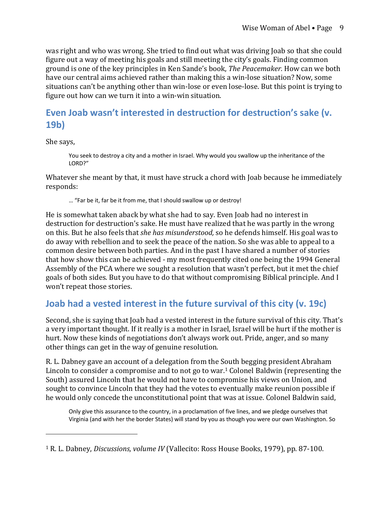was right and who was wrong. She tried to find out what was driving Joab so that she could figure out a way of meeting his goals and still meeting the city's goals. Finding common ground is one of the key principles in Ken Sande's book. *The Peacemaker*. How can we both have our central aims achieved rather than making this a win-lose situation? Now, some situations can't be anything other than win-lose or even lose-lose. But this point is trying to figure out how can we turn it into a win-win situation.

# **Even Joab wasn't interested in destruction for destruction's sake (v. 19b)**

She says,

You seek to destroy a city and a mother in Israel. Why would you swallow up the inheritance of the LORD?"

Whatever she meant by that, it must have struck a chord with Joab because he immediately responds:

… "Far be it, far be it from me, that I should swallow up or destroy!

He is somewhat taken aback by what she had to say. Even Joab had no interest in destruction for destruction's sake. He must have realized that he was partly in the wrong on this. But he also feels that *she has misunderstood*, so he defends himself. His goal was to do away with rebellion and to seek the peace of the nation. So she was able to appeal to a common desire between both parties. And in the past I have shared a number of stories that how show this can be achieved - my most frequently cited one being the 1994 General Assembly of the PCA where we sought a resolution that wasn't perfect, but it met the chief goals of both sides. But you have to do that without compromising Biblical principle. And I won't repeat those stories.

#### **Joab had a vested interest in the future survival of this city (v. 19c)**

Second, she is saying that Joab had a vested interest in the future survival of this city. That's a very important thought. If it really is a mother in Israel, Israel will be hurt if the mother is hurt. Now these kinds of negotiations don't always work out. Pride, anger, and so many other things can get in the way of genuine resolution.

R. L. Dabney gave an account of a delegation from the South begging president Abraham Lincoln to consider a compromise and to not go to war.<sup>1</sup> Colonel Baldwin (representing the South) assured Lincoln that he would not have to compromise his views on Union, and sought to convince Lincoln that they had the votes to eventually make reunion possible if he would only concede the unconstitutional point that was at issue. Colonel Baldwin said,

Only give this assurance to the country, in a proclamation of five lines, and we pledge ourselves that Virginia (and with her the border States) will stand by you as though you were our own Washington. So

<sup>&</sup>lt;sup>1</sup> R. L. Dabney, *Discussions, volume IV* (Vallecito: Ross House Books, 1979), pp. 87-100.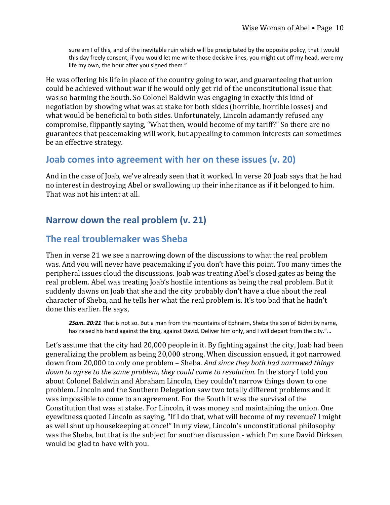sure am I of this, and of the inevitable ruin which will be precipitated by the opposite policy, that I would this day freely consent, if you would let me write those decisive lines, you might cut off my head, were my life my own, the hour after you signed them."

He was offering his life in place of the country going to war, and guaranteeing that union could be achieved without war if he would only get rid of the unconstitutional issue that was so harming the South. So Colonel Baldwin was engaging in exactly this kind of negotiation by showing what was at stake for both sides (horrible, horrible losses) and what would be beneficial to both sides. Unfortunately, Lincoln adamantly refused any compromise, flippantly saying, "What then, would become of my tariff?" So there are no guarantees that peacemaking will work, but appealing to common interests can sometimes be an effective strategy.

#### **Joab comes into agreement with her on these issues (v. 20)**

And in the case of Joab, we've already seen that it worked. In verse 20 Joab says that he had no interest in destroying Abel or swallowing up their inheritance as if it belonged to him. That was not his intent at all.

#### **Narrow down the real problem (v. 21)**

#### **The real troublemaker was Sheba**

Then in verse 21 we see a narrowing down of the discussions to what the real problem was. And you will never have peacemaking if you don't have this point. Too many times the peripheral issues cloud the discussions. Joab was treating Abel's closed gates as being the real problem. Abel was treating Joab's hostile intentions as being the real problem. But it suddenly dawns on Joab that she and the city probably don't have a clue about the real character of Sheba, and he tells her what the real problem is. It's too bad that he hadn't done this earlier. He says,

*2Sam. 20:21* That is not so. But a man from the mountains of Ephraim, Sheba the son of Bichri by name, has raised his hand against the king, against David. Deliver him only, and I will depart from the city."...

Let's assume that the city had 20,000 people in it. By fighting against the city, Joab had been generalizing the problem as being 20,000 strong. When discussion ensued, it got narrowed down from 20,000 to only one problem - Sheba. *And since they both had narrowed things down to agree to the same problem, they could come to resolution.* In the story I told you about Colonel Baldwin and Abraham Lincoln, they couldn't narrow things down to one problem. Lincoln and the Southern Delegation saw two totally different problems and it was impossible to come to an agreement. For the South it was the survival of the Constitution that was at stake. For Lincoln, it was money and maintaining the union. One eyewitness quoted Lincoln as saying, "If I do that, what will become of my revenue? I might as well shut up housekeeping at once!" In my view, Lincoln's unconstitutional philosophy was the Sheba, but that is the subject for another discussion - which I'm sure David Dirksen would be glad to have with you.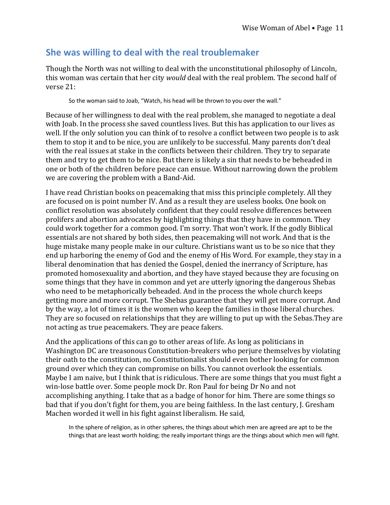#### **She was willing to deal with the real troublemaker**

Though the North was not willing to deal with the unconstitutional philosophy of Lincoln, this woman was certain that her city *would* deal with the real problem. The second half of verse 21:

So the woman said to Joab, "Watch, his head will be thrown to you over the wall."

Because of her willingness to deal with the real problem, she managed to negotiate a deal with Joab. In the process she saved countless lives. But this has application to our lives as well. If the only solution you can think of to resolve a conflict between two people is to ask them to stop it and to be nice, you are unlikely to be successful. Many parents don't deal with the real issues at stake in the conflicts between their children. They try to separate them and try to get them to be nice. But there is likely a sin that needs to be beheaded in one or both of the children before peace can ensue. Without narrowing down the problem we are covering the problem with a Band-Aid.

I have read Christian books on peacemaking that miss this principle completely. All they are focused on is point number IV. And as a result they are useless books. One book on conflict resolution was absolutely confident that they could resolve differences between prolifers and abortion advocates by highlighting things that they have in common. They could work together for a common good. I'm sorry. That won't work. If the godly Biblical essentials are not shared by both sides, then peacemaking will not work. And that is the huge mistake many people make in our culture. Christians want us to be so nice that they end up harboring the enemy of God and the enemy of His Word. For example, they stay in a liberal denomination that has denied the Gospel, denied the inerrancy of Scripture, has promoted homosexuality and abortion, and they have stayed because they are focusing on some things that they have in common and yet are utterly ignoring the dangerous Shebas who need to be metaphorically beheaded. And in the process the whole church keeps getting more and more corrupt. The Shebas guarantee that they will get more corrupt. And by the way, a lot of times it is the women who keep the families in those liberal churches. They are so focused on relationships that they are willing to put up with the Sebas. They are not acting as true peacemakers. They are peace fakers.

And the applications of this can go to other areas of life. As long as politicians in Washington DC are treasonous Constitution-breakers who perjure themselves by violating their oath to the constitution, no Constitutionalist should even bother looking for common ground over which they can compromise on bills. You cannot overlook the essentials. Maybe I am naive, but I think that is ridiculous. There are some things that you must fight a win-lose battle over. Some people mock Dr. Ron Paul for being Dr No and not accomplishing anything. I take that as a badge of honor for him. There are some things so bad that if you don't fight for them, you are being faithless. In the last century, J. Gresham Machen worded it well in his fight against liberalism. He said,

In the sphere of religion, as in other spheres, the things about which men are agreed are apt to be the things that are least worth holding; the really important things are the things about which men will fight.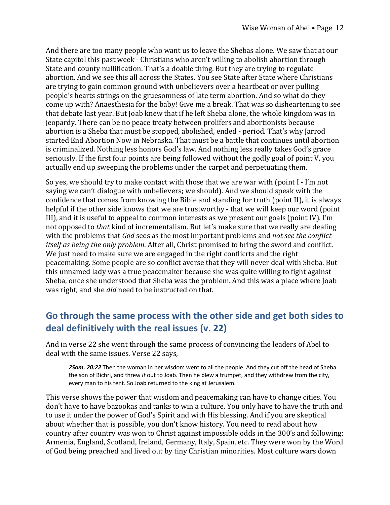And there are too many people who want us to leave the Shebas alone. We saw that at our State capitol this past week - Christians who aren't willing to abolish abortion through State and county nullification. That's a doable thing. But they are trying to regulate abortion. And we see this all across the States. You see State after State where Christians are trying to gain common ground with unbelievers over a heartbeat or over pulling people's hearts strings on the gruesomness of late term abortion. And so what do they come up with? Anaesthesia for the baby! Give me a break. That was so disheartening to see that debate last year. But Joab knew that if he left Sheba alone, the whole kingdom was in jeopardy. There can be no peace treaty between prolifers and abortionists because abortion is a Sheba that must be stopped, abolished, ended - period. That's why Jarrod started End Abortion Now in Nebraska. That must be a battle that continues until abortion is criminalized. Nothing less honors God's law. And nothing less really takes God's grace seriously. If the first four points are being followed without the godly goal of point V, you actually end up sweeping the problems under the carpet and perpetuating them.

So yes, we should try to make contact with those that we are war with (point  $I - I'm$  not saying we can't dialogue with unbelievers; we should). And we should speak with the confidence that comes from knowing the Bible and standing for truth (point II), it is always helpful if the other side knows that we are trustworthy - that we will keep our word (point III), and it is useful to appeal to common interests as we present our goals (point IV). I'm not opposed to *that* kind of incrementalism. But let's make sure that we really are dealing with the problems that *God* sees as the most important problems and *not see the conflict itself as being the only problem.* After all, Christ promised to bring the sword and conflict. We just need to make sure we are engaged in the right conflicrts and the right peacemaking. Some people are so conflict averse that they will never deal with Sheba. But this unnamed lady was a true peacemaker because she was quite willing to fight against Sheba, once she understood that Sheba was the problem. And this was a place where Joab was right, and she *did* need to be instructed on that.

## **Go through the same process with the other side and get both sides to deal definitively with the real issues (v. 22)**

And in verse 22 she went through the same process of convincing the leaders of Abel to deal with the same issues. Verse 22 says,

*2Sam. 20:22* Then the woman in her wisdom went to all the people. And they cut off the head of Sheba the son of Bichri, and threw *it* out to Joab. Then he blew a trumpet, and they withdrew from the city, every man to his tent. So Joab returned to the king at Jerusalem.

This verse shows the power that wisdom and peacemaking can have to change cities. You don't have to have bazookas and tanks to win a culture. You only have to have the truth and to use it under the power of God's Spirit and with His blessing. And if you are skeptical about whether that is possible, you don't know history. You need to read about how country after country was won to Christ against impossible odds in the 300's and following: Armenia, England, Scotland, Ireland, Germany, Italy, Spain, etc. They were won by the Word of God being preached and lived out by tiny Christian minorities. Most culture wars down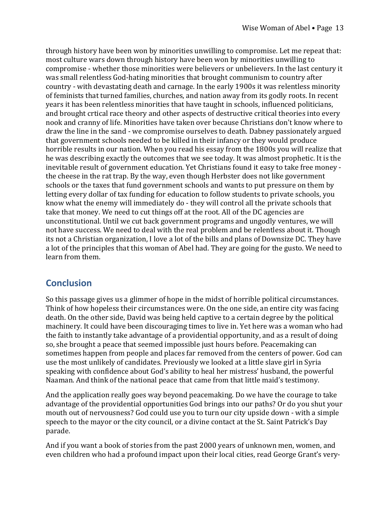through history have been won by minorities unwilling to compromise. Let me repeat that: most culture wars down through history have been won by minorities unwilling to compromise - whether those minorities were believers or unbelievers. In the last century it was small relentless God-hating minorities that brought communism to country after country - with devastating death and carnage. In the early 1900s it was relentless minority of feminists that turned families, churches, and nation away from its godly roots. In recent years it has been relentless minorities that have taught in schools, influenced politicians, and brought crtical race theory and other aspects of destructive critical theories into every nook and cranny of life. Minorities have taken over because Christians don't know where to draw the line in the sand - we compromise ourselves to death. Dabney passionately argued that government schools needed to be killed in their infancy or they would produce horrible results in our nation. When you read his essay from the 1800s you will realize that he was describing exactly the outcomes that we see today. It was almost prophetic. It is the inevitable result of government education. Yet Christians found it easy to take free money the cheese in the rat trap. By the way, even though Herbster does not like government schools or the taxes that fund government schools and wants to put pressure on them by letting every dollar of tax funding for education to follow students to private schools, you know what the enemy will immediately do - they will control all the private schools that take that money. We need to cut things off at the root. All of the DC agencies are unconstitutional. Until we cut back government programs and ungodly ventures, we will not have success. We need to deal with the real problem and be relentless about it. Though its not a Christian organization, I love a lot of the bills and plans of Downsize DC. They have a lot of the principles that this woman of Abel had. They are going for the gusto. We need to learn from them.

#### **Conclusion**

So this passage gives us a glimmer of hope in the midst of horrible political circumstances. Think of how hopeless their circumstances were. On the one side, an entire city was facing death. On the other side, David was being held captive to a certain degree by the political machinery. It could have been discouraging times to live in. Yet here was a woman who had the faith to instantly take advantage of a providential opportunity, and as a result of doing so, she brought a peace that seemed impossible just hours before. Peacemaking can sometimes happen from people and places far removed from the centers of power. God can use the most unlikely of candidates. Previously we looked at a little slave girl in Syria speaking with confidence about God's ability to heal her mistress' husband, the powerful Naaman. And think of the national peace that came from that little maid's testimony.

And the application really goes way beyond peacemaking. Do we have the courage to take advantage of the providential opportunities God brings into our paths? Or do you shut your mouth out of nervousness? God could use you to turn our city upside down - with a simple speech to the mayor or the city council, or a divine contact at the St. Saint Patrick's Day parade.

And if you want a book of stories from the past 2000 years of unknown men, women, and even children who had a profound impact upon their local cities, read George Grant's very-